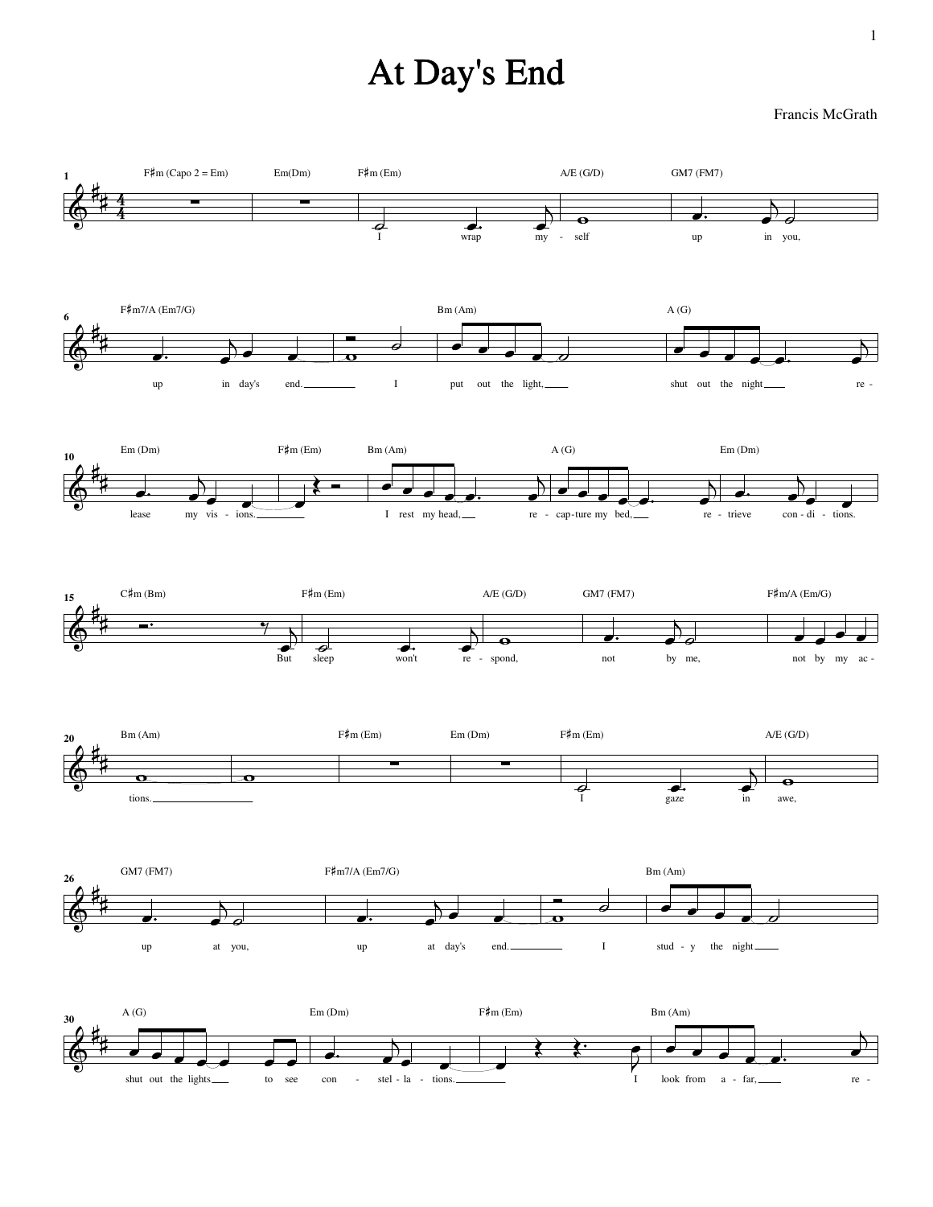## At Day's End

## Francis McGrath